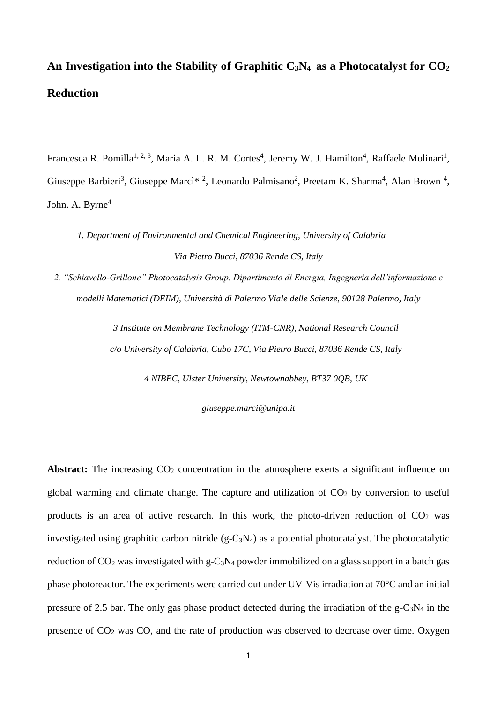# **An Investigation into the Stability of Graphitic C3N4 as a Photocatalyst for CO<sup>2</sup> Reduction**

Francesca R. Pomilla<sup>1, 2, 3</sup>, Maria A. L. R. M. Cortes<sup>4</sup>, Jeremy W. J. Hamilton<sup>4</sup>, Raffaele Molinari<sup>1</sup>, Giuseppe Barbieri<sup>3</sup>, Giuseppe Marcì<sup>\*</sup><sup>2</sup>, Leonardo Palmisano<sup>2</sup>, Preetam K. Sharma<sup>4</sup>, Alan Brown<sup>4</sup>, John. A. Byrne<sup>4</sup>

*1. Department of Environmental and Chemical Engineering, University of Calabria Via Pietro Bucci, 87036 Rende CS, Italy*

*2. "Schiavello-Grillone" Photocatalysis Group. Dipartimento di Energia, Ingegneria dell'informazione e modelli Matematici (DEIM), Università di Palermo Viale delle Scienze, 90128 Palermo, Italy*

> *3 Institute on Membrane Technology (ITM-CNR), National Research Council c/o University of Calabria, Cubo 17C, Via Pietro Bucci, 87036 Rende CS, Italy*

> > *4 NIBEC, Ulster University, Newtownabbey, BT37 0QB, UK*

*giuseppe.marci@unipa.it*

Abstract: The increasing  $CO<sub>2</sub>$  concentration in the atmosphere exerts a significant influence on global warming and climate change. The capture and utilization of  $CO<sub>2</sub>$  by conversion to useful products is an area of active research. In this work, the photo-driven reduction of  $CO<sub>2</sub>$  was investigated using graphitic carbon nitride  $(g - C_3N_4)$  as a potential photocatalyst. The photocatalytic reduction of  $CO<sub>2</sub>$  was investigated with g- $C<sub>3</sub>N<sub>4</sub>$  powder immobilized on a glass support in a batch gas phase photoreactor. The experiments were carried out under UV-Vis irradiation at 70°C and an initial pressure of 2.5 bar. The only gas phase product detected during the irradiation of the  $g-C_3N_4$  in the presence of CO<sup>2</sup> was CO, and the rate of production was observed to decrease over time. Oxygen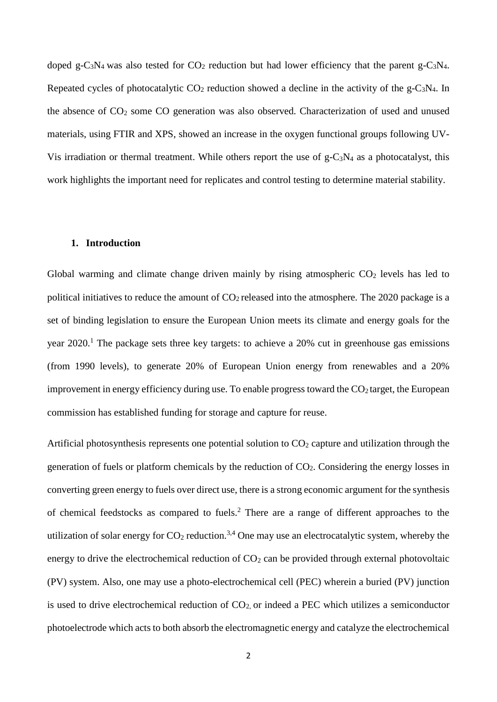doped g-C<sub>3</sub>N<sub>4</sub> was also tested for  $CO_2$  reduction but had lower efficiency that the parent g-C<sub>3</sub>N<sub>4</sub>. Repeated cycles of photocatalytic  $CO_2$  reduction showed a decline in the activity of the g-C<sub>3</sub>N<sub>4</sub>. In the absence of  $CO<sub>2</sub>$  some  $CO$  generation was also observed. Characterization of used and unused materials, using FTIR and XPS, showed an increase in the oxygen functional groups following UV-Vis irradiation or thermal treatment. While others report the use of  $g - C_3N_4$  as a photocatalyst, this work highlights the important need for replicates and control testing to determine material stability.

#### **1. Introduction**

Global warming and climate change driven mainly by rising atmospheric  $CO<sub>2</sub>$  levels has led to political initiatives to reduce the amount of  $CO<sub>2</sub>$  released into the atmosphere. The 2020 package is a set of binding legislation to ensure the European Union meets its climate and energy goals for the year  $2020$ <sup>1</sup>. The package sets three key targets: to achieve a  $20\%$  cut in greenhouse gas emissions (from 1990 levels), to generate 20% of European Union energy from renewables and a 20% improvement in energy efficiency during use. To enable progress toward the  $CO<sub>2</sub>$  target, the European commission has established funding for storage and capture for reuse.

Artificial photosynthesis represents one potential solution to  $CO<sub>2</sub>$  capture and utilization through the generation of fuels or platform chemicals by the reduction of CO2. Considering the energy losses in converting green energy to fuels over direct use, there is a strong economic argument for the synthesis of chemical feedstocks as compared to fuels. <sup>2</sup> There are a range of different approaches to the utilization of solar energy for  $CO_2$  reduction.<sup>3,4</sup> One may use an electrocatalytic system, whereby the energy to drive the electrochemical reduction of  $CO<sub>2</sub>$  can be provided through external photovoltaic (PV) system. Also, one may use a photo-electrochemical cell (PEC) wherein a buried (PV) junction is used to drive electrochemical reduction of  $CO<sub>2</sub>$  or indeed a PEC which utilizes a semiconductor photoelectrode which acts to both absorb the electromagnetic energy and catalyze the electrochemical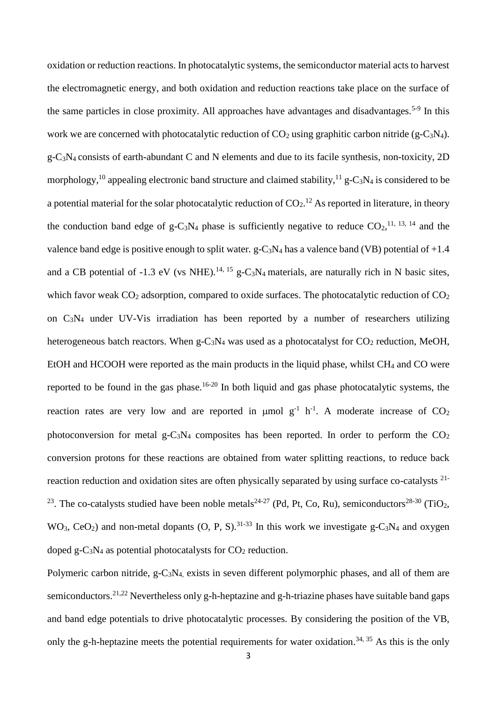oxidation or reduction reactions. In photocatalytic systems, the semiconductor material acts to harvest the electromagnetic energy, and both oxidation and reduction reactions take place on the surface of the same particles in close proximity. All approaches have advantages and disadvantages.<sup>5-9</sup> In this work we are concerned with photocatalytic reduction of  $CO_2$  using graphitic carbon nitride (g-C<sub>3</sub>N<sub>4</sub>). g-C3N4 consists of earth-abundant C and N elements and due to its facile synthesis, non-toxicity, 2D morphology,<sup>10</sup> appealing electronic band structure and claimed stability,<sup>11</sup> g-C<sub>3</sub>N<sub>4</sub> is considered to be a potential material for the solar photocatalytic reduction of  $CO<sub>2</sub>$ .<sup>12</sup> As reported in literature, in theory the conduction band edge of g-C<sub>3</sub>N<sub>4</sub> phase is sufficiently negative to reduce  $CO_2$ ,<sup>11, 13, 14</sup> and the valence band edge is positive enough to split water.  $g - C_3N_4$  has a valence band (VB) potential of  $+1.4$ and a CB potential of -1.3 eV (vs NHE).<sup>14, 15</sup> g-C<sub>3</sub>N<sub>4</sub> materials, are naturally rich in N basic sites, which favor weak  $CO_2$  adsorption, compared to oxide surfaces. The photocatalytic reduction of  $CO_2$ on C3N<sup>4</sup> under UV-Vis irradiation has been reported by a number of researchers utilizing heterogeneous batch reactors. When  $g-C_3N_4$  was used as a photocatalyst for  $CO_2$  reduction, MeOH, EtOH and HCOOH were reported as the main products in the liquid phase, whilst CH<sub>4</sub> and CO were reported to be found in the gas phase.<sup>16-20</sup> In both liquid and gas phase photocatalytic systems, the reaction rates are very low and are reported in  $\mu$ mol g<sup>-1</sup> h<sup>-1</sup>. A moderate increase of CO<sub>2</sub> photoconversion for metal g-C<sub>3</sub>N<sub>4</sub> composites has been reported. In order to perform the  $CO<sub>2</sub>$ conversion protons for these reactions are obtained from water splitting reactions, to reduce back reaction reduction and oxidation sites are often physically separated by using surface co-catalysts 21- <sup>23</sup>. The co-catalysts studied have been noble metals<sup>24-27</sup> (Pd, Pt, Co, Ru), semiconductors<sup>28-30</sup> (TiO<sub>2</sub>,  $WO<sub>3</sub>, CeO<sub>2</sub>$  and non-metal dopants  $(O, P, S)$ .  $31-33$  In this work we investigate g-C<sub>3</sub>N<sub>4</sub> and oxygen doped  $g-C_3N_4$  as potential photocatalysts for  $CO_2$  reduction.

Polymeric carbon nitride, g-C3N4, exists in seven different polymorphic phases, and all of them are semiconductors.<sup>21,22</sup> Nevertheless only g-h-heptazine and g-h-triazine phases have suitable band gaps and band edge potentials to drive photocatalytic processes. By considering the position of the VB, only the g-h-heptazine meets the potential requirements for water oxidation.<sup>34, 35</sup> As this is the only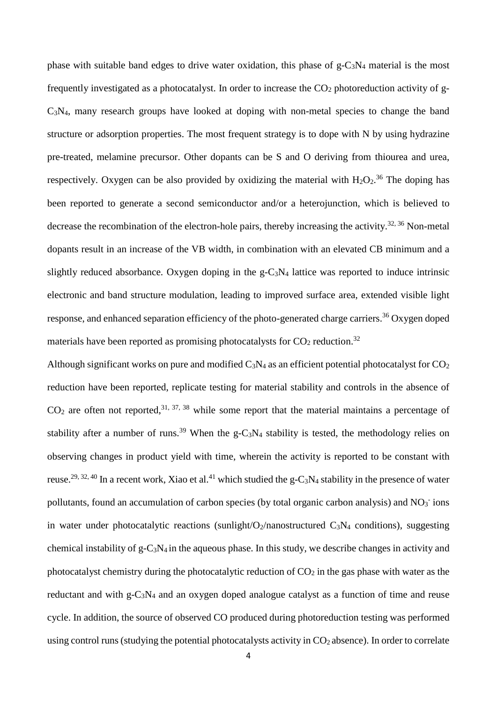phase with suitable band edges to drive water oxidation, this phase of  $g-C_3N_4$  material is the most frequently investigated as a photocatalyst. In order to increase the  $CO<sub>2</sub>$  photoreduction activity of g-C3N4, many research groups have looked at doping with non-metal species to change the band structure or adsorption properties. The most frequent strategy is to dope with N by using hydrazine pre-treated, melamine precursor. Other dopants can be S and O deriving from thiourea and urea, respectively. Oxygen can be also provided by oxidizing the material with  $H_2O_2$ .<sup>36</sup> The doping has been reported to generate a second semiconductor and/or a heterojunction, which is believed to decrease the recombination of the electron-hole pairs, thereby increasing the activity.<sup>32, 36</sup> Non-metal dopants result in an increase of the VB width, in combination with an elevated CB minimum and a slightly reduced absorbance. Oxygen doping in the  $g - C_3N_4$  lattice was reported to induce intrinsic electronic and band structure modulation, leading to improved surface area, extended visible light response, and enhanced separation efficiency of the photo-generated charge carriers.<sup>36</sup> Oxygen doped materials have been reported as promising photocatalysts for  $CO<sub>2</sub>$  reduction.<sup>32</sup>

Although significant works on pure and modified  $C_3N_4$  as an efficient potential photocatalyst for  $CO_2$ reduction have been reported, replicate testing for material stability and controls in the absence of  $CO<sub>2</sub>$  are often not reported,<sup>31, 37, 38</sup> while some report that the material maintains a percentage of stability after a number of runs.<sup>39</sup> When the g-C<sub>3</sub>N<sub>4</sub> stability is tested, the methodology relies on observing changes in product yield with time, wherein the activity is reported to be constant with reuse.<sup>29, 32, 40</sup> In a recent work, Xiao et al.<sup>41</sup> which studied the g-C<sub>3</sub>N<sub>4</sub> stability in the presence of water pollutants, found an accumulation of carbon species (by total organic carbon analysis) and NO<sub>3</sub> ions in water under photocatalytic reactions (sunlight/ $O_2$ /nanostructured  $C_3N_4$  conditions), suggesting chemical instability of  $g - C_3N_4$  in the aqueous phase. In this study, we describe changes in activity and photocatalyst chemistry during the photocatalytic reduction of  $CO<sub>2</sub>$  in the gas phase with water as the reductant and with g-C3N<sup>4</sup> and an oxygen doped analogue catalyst as a function of time and reuse cycle. In addition, the source of observed CO produced during photoreduction testing was performed using control runs (studying the potential photocatalysts activity in  $CO<sub>2</sub>$  absence). In order to correlate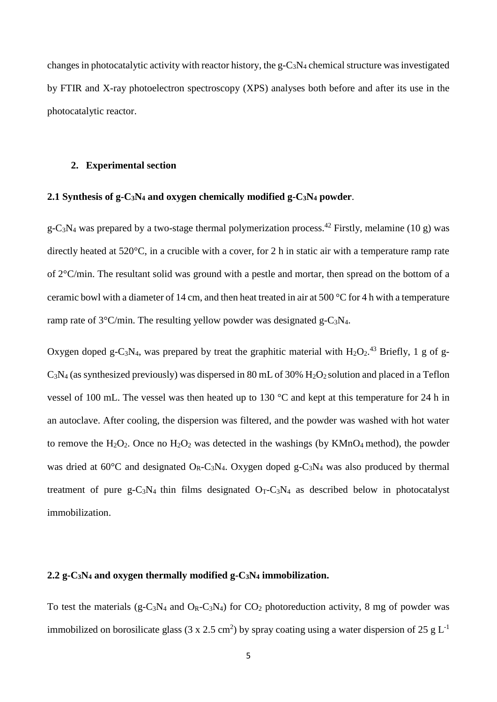changes in photocatalytic activity with reactor history, the  $g - C_3N_4$  chemical structure was investigated by FTIR and X-ray photoelectron spectroscopy (XPS) analyses both before and after its use in the photocatalytic reactor.

#### **2. Experimental section**

## **2.1 Synthesis of g-C3N<sup>4</sup> and oxygen chemically modified g-C3N<sup>4</sup> powder**.

g-C<sub>3</sub>N<sub>4</sub> was prepared by a two-stage thermal polymerization process.<sup>42</sup> Firstly, melamine (10 g) was directly heated at 520°C, in a crucible with a cover, for 2 h in static air with a temperature ramp rate of 2°C/min. The resultant solid was ground with a pestle and mortar, then spread on the bottom of a ceramic bowl with a diameter of 14 cm, and then heat treated in air at 500 °C for 4 h with a temperature ramp rate of  $3^{\circ}$ C/min. The resulting yellow powder was designated g-C<sub>3</sub>N<sub>4</sub>.

Oxygen doped g-C<sub>3</sub>N<sub>4</sub>, was prepared by treat the graphitic material with  $H_2O_2$ <sup>43</sup> Briefly, 1 g of g- $C_3N_4$  (as synthesized previously) was dispersed in 80 mL of 30%  $H_2O_2$  solution and placed in a Teflon vessel of 100 mL. The vessel was then heated up to 130 °C and kept at this temperature for 24 h in an autoclave. After cooling, the dispersion was filtered, and the powder was washed with hot water to remove the H<sub>2</sub>O<sub>2</sub>. Once no H<sub>2</sub>O<sub>2</sub> was detected in the washings (by KMnO<sub>4</sub> method), the powder was dried at  $60^{\circ}$ C and designated O<sub>R</sub>-C<sub>3</sub>N<sub>4</sub>. Oxygen doped g-C<sub>3</sub>N<sub>4</sub> was also produced by thermal treatment of pure g-C<sub>3</sub>N<sub>4</sub> thin films designated  $O_T$ -C<sub>3</sub>N<sub>4</sub> as described below in photocatalyst immobilization.

#### **2.2 g-C3N<sup>4</sup> and oxygen thermally modified g-C3N<sup>4</sup> immobilization.**

To test the materials (g-C<sub>3</sub>N<sub>4</sub> and O<sub>R</sub>-C<sub>3</sub>N<sub>4</sub>) for CO<sub>2</sub> photoreduction activity, 8 mg of powder was immobilized on borosilicate glass (3 x 2.5 cm<sup>2</sup>) by spray coating using a water dispersion of 25 g  $L^{-1}$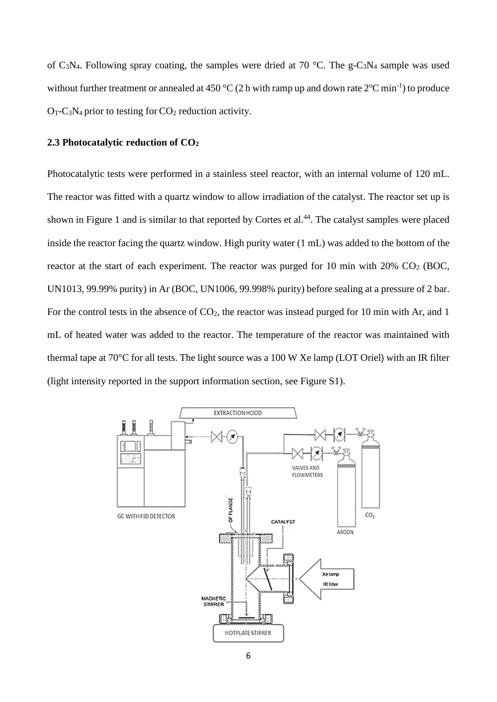of  $C_3N_4$ . Following spray coating, the samples were dried at 70 °C. The g-C<sub>3</sub>N<sub>4</sub> sample was used without further treatment or annealed at 450 °C (2 h with ramp up and down rate  $2^{\circ}C$  min<sup>-1</sup>) to produce  $O_T-C_3N_4$  prior to testing for  $CO_2$  reduction activity.

## **2.3 Photocatalytic reduction of CO<sup>2</sup>**

Photocatalytic tests were performed in a stainless steel reactor, with an internal volume of 120 mL. The reactor was fitted with a quartz window to allow irradiation of the catalyst. The reactor set up is shown in Figure 1 and is similar to that reported by Cortes et al.<sup>44</sup>. The catalyst samples were placed inside the reactor facing the quartz window. High purity water (1 mL) was added to the bottom of the reactor at the start of each experiment. The reactor was purged for 10 min with  $20\%$  CO<sub>2</sub> (BOC, UN1013, 99.99% purity) in Ar (BOC, UN1006, 99.998% purity) before sealing at a pressure of 2 bar. For the control tests in the absence of  $CO<sub>2</sub>$ , the reactor was instead purged for 10 min with Ar, and 1 mL of heated water was added to the reactor. The temperature of the reactor was maintained with thermal tape at 70°C for all tests. The light source was a 100 W Xe lamp (LOT Oriel) with an IR filter (light intensity reported in the support information section, see Figure S1).

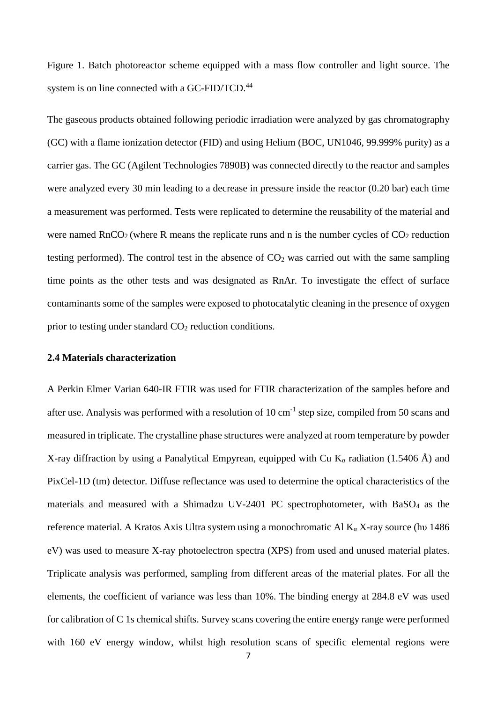Figure 1. Batch photoreactor scheme equipped with a mass flow controller and light source. The system is on line connected with a GC-FID/TCD.<sup>44</sup>

The gaseous products obtained following periodic irradiation were analyzed by gas chromatography (GC) with a flame ionization detector (FID) and using Helium (BOC, UN1046, 99.999% purity) as a carrier gas. The GC (Agilent Technologies 7890B) was connected directly to the reactor and samples were analyzed every 30 min leading to a decrease in pressure inside the reactor (0.20 bar) each time a measurement was performed. Tests were replicated to determine the reusability of the material and were named  $RnCO<sub>2</sub>$  (where R means the replicate runs and n is the number cycles of  $CO<sub>2</sub>$  reduction testing performed). The control test in the absence of  $CO<sub>2</sub>$  was carried out with the same sampling time points as the other tests and was designated as RnAr. To investigate the effect of surface contaminants some of the samples were exposed to photocatalytic cleaning in the presence of oxygen prior to testing under standard CO<sup>2</sup> reduction conditions.

#### **2.4 Materials characterization**

A Perkin Elmer Varian 640-IR FTIR was used for FTIR characterization of the samples before and after use. Analysis was performed with a resolution of 10 cm<sup>-1</sup> step size, compiled from 50 scans and measured in triplicate. The crystalline phase structures were analyzed at room temperature by powder X-ray diffraction by using a Panalytical Empyrean, equipped with Cu K<sub>α</sub> radiation (1.5406 Å) and PixCel-1D (tm) detector. Diffuse reflectance was used to determine the optical characteristics of the materials and measured with a Shimadzu UV-2401 PC spectrophotometer, with BaSO<sup>4</sup> as the reference material. A Kratos Axis Ultra system using a monochromatic Al K<sub>α</sub> X-ray source (hv 1486) eV) was used to measure X-ray photoelectron spectra (XPS) from used and unused material plates. Triplicate analysis was performed, sampling from different areas of the material plates. For all the elements, the coefficient of variance was less than 10%. The binding energy at 284.8 eV was used for calibration of C 1s chemical shifts. Survey scans covering the entire energy range were performed with 160 eV energy window, whilst high resolution scans of specific elemental regions were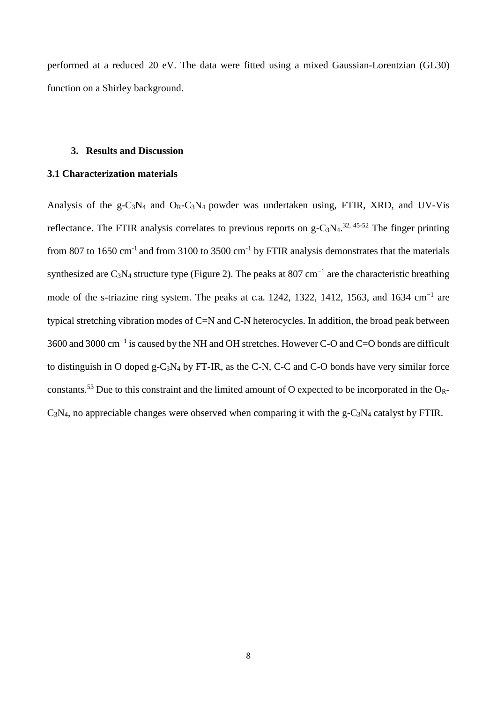performed at a reduced 20 eV. The data were fitted using a mixed Gaussian-Lorentzian (GL30) function on a Shirley background.

## **3. Results and Discussion**

#### **3.1 Characterization materials**

Analysis of the  $g - C_3N_4$  and  $O_R - C_3N_4$  powder was undertaken using, FTIR, XRD, and UV-Vis reflectance. The FTIR analysis correlates to previous reports on  $g-C_3N_4$ .<sup>32, 45-52</sup> The finger printing from 807 to 1650 cm<sup>-1</sup> and from 3100 to 3500 cm<sup>-1</sup> by FTIR analysis demonstrates that the materials synthesized are C<sub>3</sub>N<sub>4</sub> structure type (Figure 2). The peaks at 807 cm<sup>-1</sup> are the characteristic breathing mode of the s-triazine ring system. The peaks at c.a. 1242, 1322, 1412, 1563, and 1634 cm<sup>-1</sup> are typical stretching vibration modes of C=N and C-N heterocycles. In addition, the broad peak between 3600 and 3000 cm<sup>-1</sup> is caused by the NH and OH stretches. However C-O and C=O bonds are difficult to distinguish in O doped g-C3N<sup>4</sup> by FT-IR, as the C-N, C-C and C-O bonds have very similar force constants.<sup>53</sup> Due to this constraint and the limited amount of O expected to be incorporated in the O<sub>R</sub>- $C_3N_4$ , no appreciable changes were observed when comparing it with the g-C<sub>3</sub>N<sub>4</sub> catalyst by FTIR.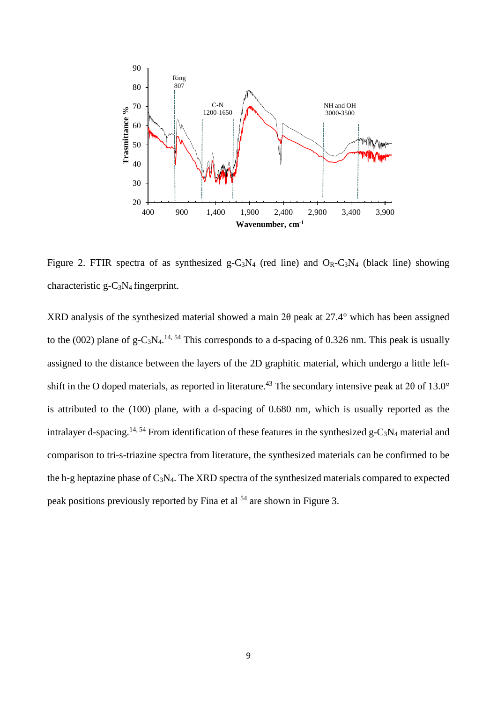

Figure 2. FTIR spectra of as synthesized g-C<sub>3</sub>N<sub>4</sub> (red line) and  $O_R-C_3N_4$  (black line) showing characteristic g-C3N4 fingerprint.

XRD analysis of the synthesized material showed a main 2θ peak at 27.4° which has been assigned to the (002) plane of g-C<sub>3</sub>N<sub>4</sub>.<sup>14, 54</sup> This corresponds to a d-spacing of 0.326 nm. This peak is usually assigned to the distance between the layers of the 2D graphitic material, which undergo a little leftshift in the O doped materials, as reported in literature.<sup>43</sup> The secondary intensive peak at 2 $\theta$  of 13.0° is attributed to the (100) plane, with a d-spacing of 0.680 nm, which is usually reported as the intralayer d-spacing.<sup>14, 54</sup> From identification of these features in the synthesized g-C<sub>3</sub>N<sub>4</sub> material and comparison to tri-s-triazine spectra from literature, the synthesized materials can be confirmed to be the h-g heptazine phase of C3N4. The XRD spectra of the synthesized materials compared to expected peak positions previously reported by Fina et al <sup>54</sup> are shown in Figure 3.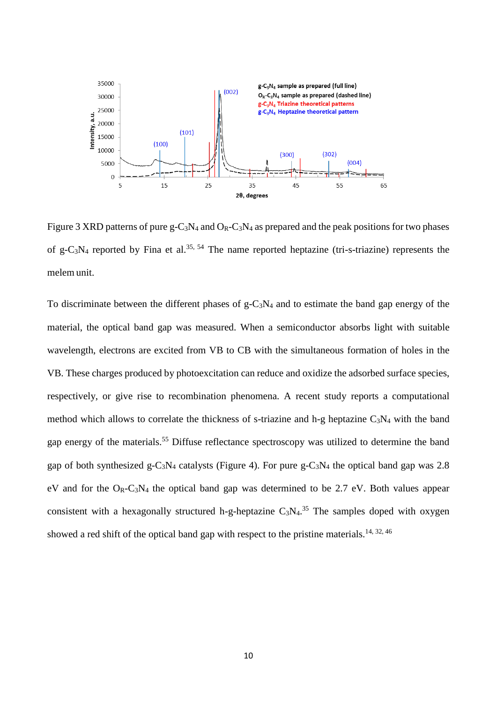

Figure 3 XRD patterns of pure g-C<sub>3</sub>N<sub>4</sub> and  $O_R$ -C<sub>3</sub>N<sub>4</sub> as prepared and the peak positions for two phases of g-C<sub>3</sub>N<sub>4</sub> reported by Fina et al.<sup>35, 54</sup> The name reported heptazine (tri-s-triazine) represents the melem unit.

To discriminate between the different phases of g-C3N<sup>4</sup> and to estimate the band gap energy of the material, the optical band gap was measured. When a semiconductor absorbs light with suitable wavelength, electrons are excited from VB to CB with the simultaneous formation of holes in the VB. These charges produced by photoexcitation can reduce and oxidize the adsorbed surface species, respectively, or give rise to recombination phenomena. A recent study reports a computational method which allows to correlate the thickness of s-triazine and h-g heptazine  $C_3N_4$  with the band gap energy of the materials.<sup>55</sup> Diffuse reflectance spectroscopy was utilized to determine the band gap of both synthesized g-C<sub>3</sub>N<sub>4</sub> catalysts (Figure 4). For pure g-C<sub>3</sub>N<sub>4</sub> the optical band gap was 2.8 eV and for the  $O_{R-C_3N_4}$  the optical band gap was determined to be 2.7 eV. Both values appear consistent with a hexagonally structured h-g-heptazine  $C_3N_4$ .<sup>35</sup> The samples doped with oxygen showed a red shift of the optical band gap with respect to the pristine materials.<sup>14, 32, 46</sup>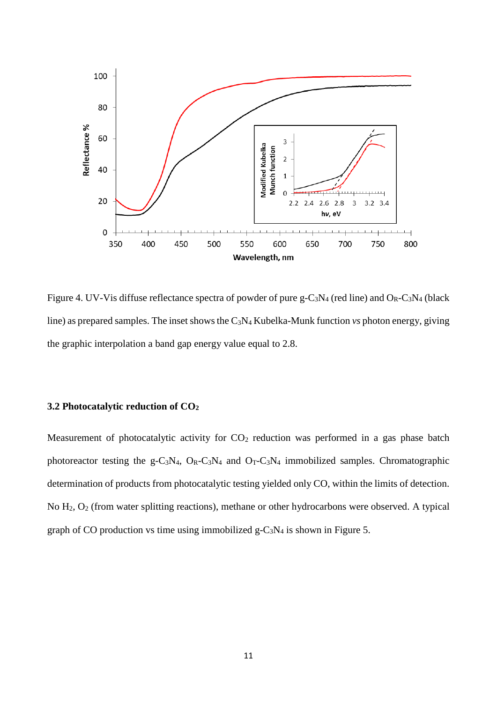

Figure 4. UV-Vis diffuse reflectance spectra of powder of pure  $g-C_3N_4$  (red line) and  $O_R-C_3N_4$  (black line) as prepared samples. The inset shows the C<sub>3</sub>N<sub>4</sub> Kubelka-Munk function *vs* photon energy, giving the graphic interpolation a band gap energy value equal to 2.8.

## **3.2 Photocatalytic reduction of CO<sup>2</sup>**

Measurement of photocatalytic activity for  $CO<sub>2</sub>$  reduction was performed in a gas phase batch photoreactor testing the g-C<sub>3</sub>N<sub>4</sub>, O<sub>R</sub>-C<sub>3</sub>N<sub>4</sub> and O<sub>T</sub>-C<sub>3</sub>N<sub>4</sub> immobilized samples. Chromatographic determination of products from photocatalytic testing yielded only CO, within the limits of detection. No H2, O<sup>2</sup> (from water splitting reactions), methane or other hydrocarbons were observed. A typical graph of CO production vs time using immobilized g-C3N<sup>4</sup> is shown in Figure 5.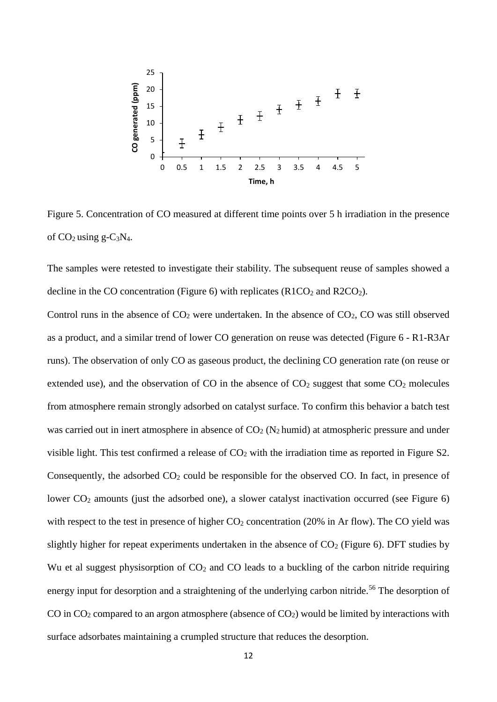

Figure 5. Concentration of CO measured at different time points over 5 h irradiation in the presence of  $CO<sub>2</sub>$  using g- $C<sub>3</sub>N<sub>4</sub>$ .

The samples were retested to investigate their stability. The subsequent reuse of samples showed a decline in the CO concentration (Figure 6) with replicates  $(R1CO<sub>2</sub>$  and  $R2CO<sub>2</sub>)$ .

Control runs in the absence of  $CO<sub>2</sub>$  were undertaken. In the absence of  $CO<sub>2</sub>$ , CO was still observed as a product, and a similar trend of lower CO generation on reuse was detected (Figure 6 - R1-R3Ar runs). The observation of only CO as gaseous product, the declining CO generation rate (on reuse or extended use), and the observation of CO in the absence of  $CO<sub>2</sub>$  suggest that some  $CO<sub>2</sub>$  molecules from atmosphere remain strongly adsorbed on catalyst surface. To confirm this behavior a batch test was carried out in inert atmosphere in absence of  $CO<sub>2</sub>$  (N<sub>2</sub> humid) at atmospheric pressure and under visible light. This test confirmed a release of  $CO<sub>2</sub>$  with the irradiation time as reported in Figure S2. Consequently, the adsorbed  $CO<sub>2</sub>$  could be responsible for the observed CO. In fact, in presence of lower CO<sub>2</sub> amounts (just the adsorbed one), a slower catalyst inactivation occurred (see Figure 6) with respect to the test in presence of higher  $CO<sub>2</sub>$  concentration (20% in Ar flow). The CO yield was slightly higher for repeat experiments undertaken in the absence of  $CO<sub>2</sub>$  (Figure 6). DFT studies by Wu et al suggest physisorption of  $CO<sub>2</sub>$  and  $CO$  leads to a buckling of the carbon nitride requiring energy input for desorption and a straightening of the underlying carbon nitride.<sup>56</sup> The desorption of CO in  $CO<sub>2</sub>$  compared to an argon atmosphere (absence of  $CO<sub>2</sub>$ ) would be limited by interactions with surface adsorbates maintaining a crumpled structure that reduces the desorption.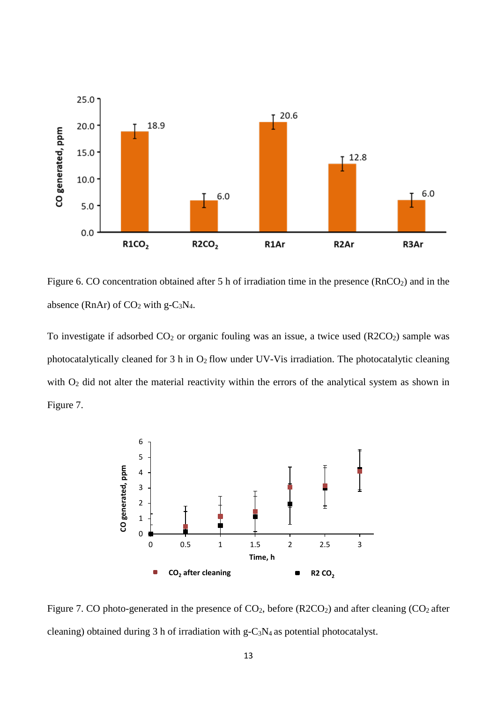

Figure 6. CO concentration obtained after 5 h of irradiation time in the presence (RnCO<sub>2</sub>) and in the absence (RnAr) of  $CO<sub>2</sub>$  with g- $C<sub>3</sub>N<sub>4</sub>$ .

To investigate if adsorbed  $CO<sub>2</sub>$  or organic fouling was an issue, a twice used (R2CO<sub>2</sub>) sample was photocatalytically cleaned for 3 h in  $O_2$  flow under UV-Vis irradiation. The photocatalytic cleaning with O<sub>2</sub> did not alter the material reactivity within the errors of the analytical system as shown in Figure 7.



Figure 7. CO photo-generated in the presence of CO<sub>2</sub>, before (R2CO<sub>2</sub>) and after cleaning (CO<sub>2</sub> after cleaning) obtained during 3 h of irradiation with g-C3N4 as potential photocatalyst.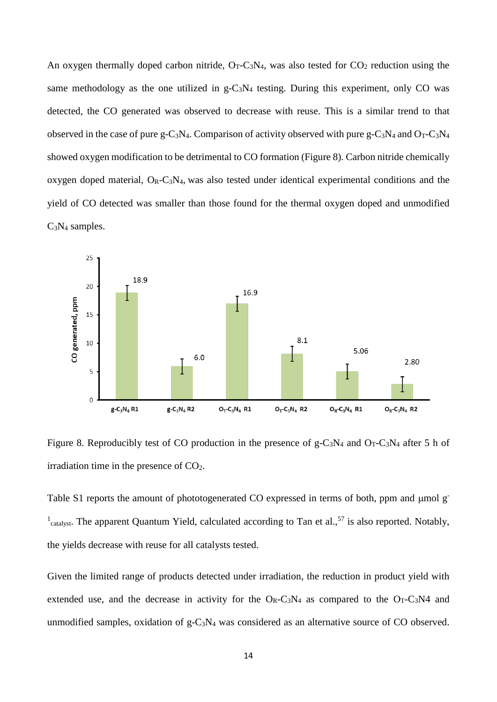An oxygen thermally doped carbon nitride,  $O_T-C_3N_4$ , was also tested for  $CO_2$  reduction using the same methodology as the one utilized in  $g-C_3N_4$  testing. During this experiment, only CO was detected, the CO generated was observed to decrease with reuse. This is a similar trend to that observed in the case of pure g-C<sub>3</sub>N<sub>4</sub>. Comparison of activity observed with pure g-C<sub>3</sub>N<sub>4</sub> and O<sub>T</sub>-C<sub>3</sub>N<sub>4</sub> showed oxygen modification to be detrimental to CO formation (Figure 8). Carbon nitride chemically oxygen doped material,  $O_R-C_3N_4$ , was also tested under identical experimental conditions and the yield of CO detected was smaller than those found for the thermal oxygen doped and unmodified  $C_3N_4$  samples.



Figure 8. Reproducibly test of CO production in the presence of  $g-C_3N_4$  and  $O_T-C_3N_4$  after 5 h of irradiation time in the presence of  $CO<sub>2</sub>$ .

Table S1 reports the amount of phototogenerated CO expressed in terms of both, ppm and umol g- $<sup>1</sup>$ <sub>catalyst</sub>. The apparent Quantum Yield, calculated according to Tan et al.,<sup>57</sup> is also reported. Notably,</sup> the yields decrease with reuse for all catalysts tested.

Given the limited range of products detected under irradiation, the reduction in product yield with extended use, and the decrease in activity for the  $O_R-C_3N_4$  as compared to the  $O_T-C_3N_4$  and unmodified samples, oxidation of  $g-C_3N_4$  was considered as an alternative source of CO observed.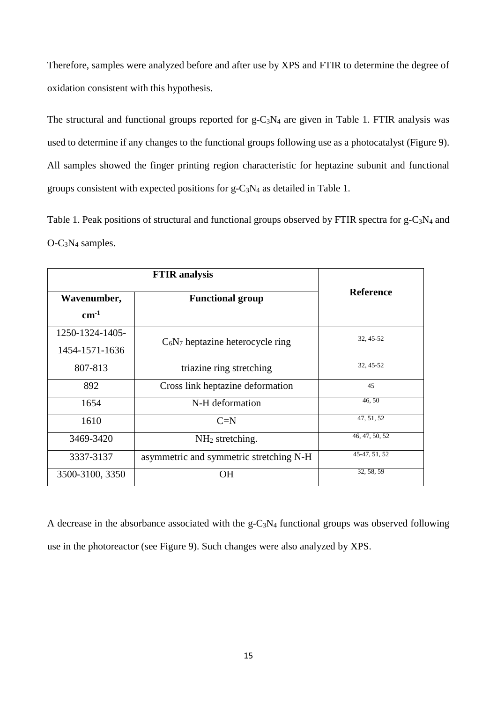Therefore, samples were analyzed before and after use by XPS and FTIR to determine the degree of oxidation consistent with this hypothesis.

The structural and functional groups reported for  $g-C_3N_4$  are given in Table 1. FTIR analysis was used to determine if any changes to the functional groups following use as a photocatalyst (Figure 9). All samples showed the finger printing region characteristic for heptazine subunit and functional groups consistent with expected positions for g-C3N<sup>4</sup> as detailed in Table 1.

Table 1. Peak positions of structural and functional groups observed by FTIR spectra for g-C<sub>3</sub>N<sub>4</sub> and O-C3N<sup>4</sup> samples.

| Wavenumber,     | <b>Reference</b>                        |                |
|-----------------|-----------------------------------------|----------------|
| $cm^{-1}$       |                                         |                |
| 1250-1324-1405- |                                         | 32, 45-52      |
| 1454-1571-1636  | $C_6N_7$ heptazine heterocycle ring     |                |
| 807-813         | triazine ring stretching                | 32, 45-52      |
| 892             | Cross link heptazine deformation        | 45             |
| 1654            | N-H deformation                         | 46,50          |
| 1610            | $C=N$                                   | 47, 51, 52     |
| 3469-3420       | $NH2$ stretching.                       | 46, 47, 50, 52 |
| 3337-3137       | asymmetric and symmetric stretching N-H | 45-47, 51, 52  |
| 3500-3100, 3350 | OН                                      | 32, 58, 59     |

A decrease in the absorbance associated with the g-C3N<sup>4</sup> functional groups was observed following use in the photoreactor (see Figure 9). Such changes were also analyzed by XPS.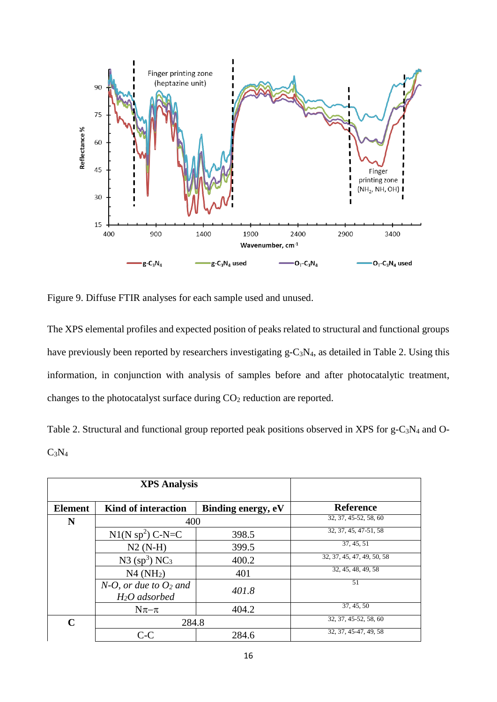

Figure 9. Diffuse FTIR analyses for each sample used and unused.

The XPS elemental profiles and expected position of peaks related to structural and functional groups have previously been reported by researchers investigating g-C<sub>3</sub>N<sub>4</sub>, as detailed in Table 2. Using this information, in conjunction with analysis of samples before and after photocatalytic treatment, changes to the photocatalyst surface during  $CO<sub>2</sub>$  reduction are reported.

Table 2. Structural and functional group reported peak positions observed in XPS for  $g - C_3N_4$  and O- $C_3N_4$ 

|                | <b>XPS</b> Analysis                           |                    |                            |
|----------------|-----------------------------------------------|--------------------|----------------------------|
| <b>Element</b> | <b>Kind of interaction</b>                    | Binding energy, eV | <b>Reference</b>           |
| N              | 400                                           |                    | 32, 37, 45-52, 58, 60      |
|                | $N1(N$ sp <sup>2</sup> ) C-N=C                | 398.5              | 32, 37, 45, 47-51, 58      |
|                | $N2(N-H)$                                     | 399.5              | 37, 45, 51                 |
|                | $N3$ (sp <sup>3</sup> ) $NC_3$                | 400.2              | 32, 37, 45, 47, 49, 50, 58 |
|                | $N4$ ( $NH2$ )                                | 401                | 32, 45, 48, 49, 58         |
|                | $N$ -O, or due to $O_2$ and<br>$H2O$ adsorbed | 401.8              | 51                         |
|                | $N\pi-\pi$                                    | 404.2              | 37, 45, 50                 |
| $\mathbf C$    | 284.8                                         |                    | 32, 37, 45-52, 58, 60      |
|                | C-C                                           | 284.6              | 32, 37, 45-47, 49, 58      |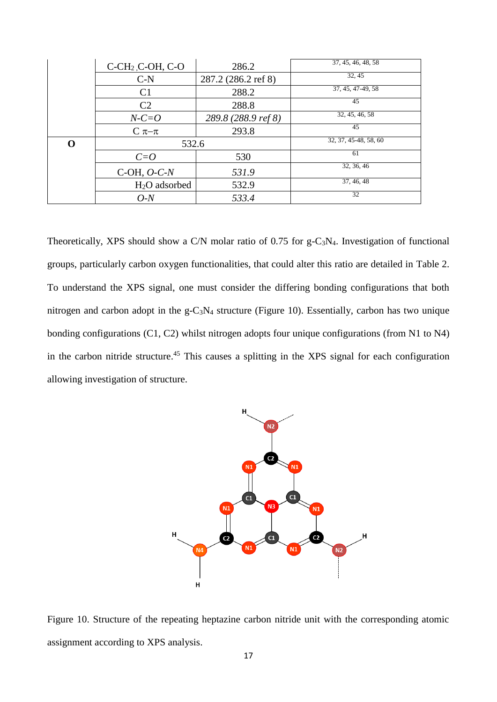|   | $C$ -CH <sub>2</sub> , C-OH, C-O | 286.2               | 37, 45, 46, 48, 58    |
|---|----------------------------------|---------------------|-----------------------|
|   | $C-N$                            | 287.2 (286.2 ref 8) | 32, 45                |
|   | C <sub>1</sub>                   | 288.2               | 37, 45, 47-49, 58     |
|   | C <sub>2</sub>                   | 288.8               | 45                    |
|   | $N-C=O$                          | 289.8 (288.9 ref 8) | 32, 45, 46, 58        |
|   | $C \pi-\pi$                      | 293.8               | 45                    |
| O | 532.6                            |                     | 32, 37, 45-48, 58, 60 |
|   | $C = O$                          | 530                 | 61                    |
|   | C-OH, $O-C-N$                    | 531.9               | 32, 36, 46            |
|   | $H2O$ adsorbed                   | 532.9               | 37, 46, 48            |
|   | $O-N$                            | 533.4               | 32                    |

Theoretically, XPS should show a C/N molar ratio of 0.75 for g-C3N4. Investigation of functional groups, particularly carbon oxygen functionalities, that could alter this ratio are detailed in Table 2. To understand the XPS signal, one must consider the differing bonding configurations that both nitrogen and carbon adopt in the  $g-C_3N_4$  structure (Figure 10). Essentially, carbon has two unique bonding configurations (C1, C2) whilst nitrogen adopts four unique configurations (from N1 to N4) in the carbon nitride structure. <sup>45</sup> This causes a splitting in the XPS signal for each configuration allowing investigation of structure.



Figure 10. Structure of the repeating heptazine carbon nitride unit with the corresponding atomic assignment according to XPS analysis.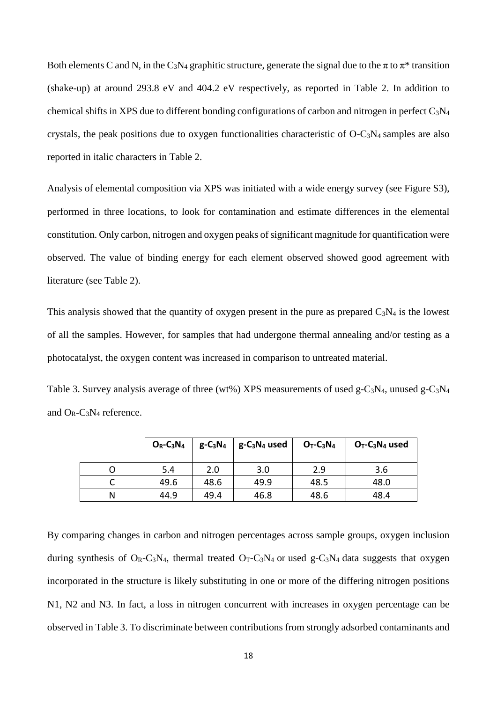Both elements C and N, in the C<sub>3</sub>N<sub>4</sub> graphitic structure, generate the signal due to the  $\pi$  to  $\pi^*$  transition (shake-up) at around 293.8 eV and 404.2 eV respectively, as reported in Table 2. In addition to chemical shifts in XPS due to different bonding configurations of carbon and nitrogen in perfect  $C_3N_4$ crystals, the peak positions due to oxygen functionalities characteristic of O-C3N4 samples are also reported in italic characters in Table 2.

Analysis of elemental composition via XPS was initiated with a wide energy survey (see Figure S3), performed in three locations, to look for contamination and estimate differences in the elemental constitution. Only carbon, nitrogen and oxygen peaks of significant magnitude for quantification were observed. The value of binding energy for each element observed showed good agreement with literature (see Table 2).

This analysis showed that the quantity of oxygen present in the pure as prepared  $C_3N_4$  is the lowest of all the samples. However, for samples that had undergone thermal annealing and/or testing as a photocatalyst, the oxygen content was increased in comparison to untreated material.

Table 3. Survey analysis average of three (wt%) XPS measurements of used g-C<sub>3</sub>N<sub>4</sub>, unused g-C<sub>3</sub>N<sub>4</sub> and  $O_R$ -C<sub>3</sub>N<sub>4</sub> reference.

|   | $O_R$ -C <sub>3</sub> N <sub>4</sub> | $g - C_3N_4$ | g-C <sub>3</sub> N <sub>4</sub> used | $O_T$ -C <sub>3</sub> N <sub>4</sub> | $O_T$ -C <sub>3</sub> N <sub>4</sub> used |
|---|--------------------------------------|--------------|--------------------------------------|--------------------------------------|-------------------------------------------|
|   | 5.4                                  | 2.0          | 3.0                                  | 2.9                                  | 3.6                                       |
|   | 49.6                                 | 48.6         | 49.9                                 | 48.5                                 | 48.0                                      |
| Ν | 44.9                                 | 49.4         | 46.8                                 | 48.6                                 | 48.4                                      |

By comparing changes in carbon and nitrogen percentages across sample groups, oxygen inclusion during synthesis of  $O_R-C_3N_4$ , thermal treated  $O_T-C_3N_4$  or used g-C<sub>3</sub>N<sub>4</sub> data suggests that oxygen incorporated in the structure is likely substituting in one or more of the differing nitrogen positions N1, N2 and N3. In fact, a loss in nitrogen concurrent with increases in oxygen percentage can be observed in Table 3. To discriminate between contributions from strongly adsorbed contaminants and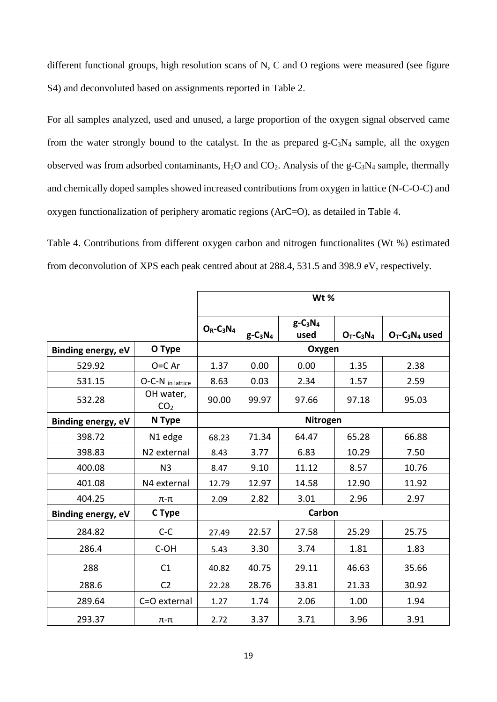different functional groups, high resolution scans of N, C and O regions were measured (see figure S4) and deconvoluted based on assignments reported in Table 2.

For all samples analyzed, used and unused, a large proportion of the oxygen signal observed came from the water strongly bound to the catalyst. In the as prepared  $g-C_3N_4$  sample, all the oxygen observed was from adsorbed contaminants,  $H_2O$  and  $CO_2$ . Analysis of the g-C<sub>3</sub>N<sub>4</sub> sample, thermally and chemically doped samples showed increased contributions from oxygen in lattice (N-C-O-C) and oxygen functionalization of periphery aromatic regions (ArC=O), as detailed in Table 4.

Table 4. Contributions from different oxygen carbon and nitrogen functionalites (Wt %) estimated from deconvolution of XPS each peak centred about at 288.4, 531.5 and 398.9 eV, respectively.

|                           |                              | Wt %                                 |              |                      |                                      |                                           |
|---------------------------|------------------------------|--------------------------------------|--------------|----------------------|--------------------------------------|-------------------------------------------|
|                           |                              | $O_R$ -C <sub>3</sub> N <sub>4</sub> | $g - C_3N_4$ | $g - C_3N_4$<br>used | $O_T$ -C <sub>3</sub> N <sub>4</sub> | $O_T$ -C <sub>3</sub> N <sub>4</sub> used |
| <b>Binding energy, eV</b> | O Type                       |                                      |              | Oxygen               |                                      |                                           |
| 529.92                    | $O=C$ Ar                     | 1.37                                 | 0.00         | 0.00                 | 1.35                                 | 2.38                                      |
| 531.15                    | O-C-N in lattice             | 8.63                                 | 0.03         | 2.34                 | 1.57                                 | 2.59                                      |
| 532.28                    | OH water,<br>CO <sub>2</sub> | 90.00<br>99.97<br>97.66<br>97.18     |              | 95.03                |                                      |                                           |
| Binding energy, eV        | N Type                       |                                      |              | Nitrogen             |                                      |                                           |
| 398.72                    | N1 edge                      | 68.23                                | 71.34        | 64.47                | 65.28                                | 66.88                                     |
| 398.83                    | N <sub>2</sub> external      | 8.43                                 | 3.77         | 6.83                 | 10.29                                | 7.50                                      |
| 400.08                    | N <sub>3</sub>               | 8.47                                 | 9.10         | 11.12                | 8.57                                 | 10.76                                     |
| 401.08                    | N4 external                  | 12.79                                | 12.97        | 14.58                | 12.90                                | 11.92                                     |
| 404.25                    | π-π                          | 2.09                                 | 2.82         | 3.01                 | 2.96                                 | 2.97                                      |
| Binding energy, eV        | C Type                       |                                      |              | Carbon               |                                      |                                           |
| 284.82                    | $C-C$                        | 27.49                                | 22.57        | 27.58                | 25.29                                | 25.75                                     |
| 286.4                     | C-OH                         | 5.43                                 | 3.30         | 3.74                 | 1.81                                 | 1.83                                      |
| 288                       | C1                           | 40.82                                | 40.75        | 29.11                | 46.63                                | 35.66                                     |
| 288.6                     | C <sub>2</sub>               | 22.28                                | 28.76        | 33.81                | 21.33                                | 30.92                                     |
| 289.64                    | C=O external                 | 1.27                                 | 1.74         | 2.06                 | 1.00                                 | 1.94                                      |
| 293.37                    | $\pi$ - $\pi$                | 2.72                                 | 3.37         | 3.71                 | 3.96                                 | 3.91                                      |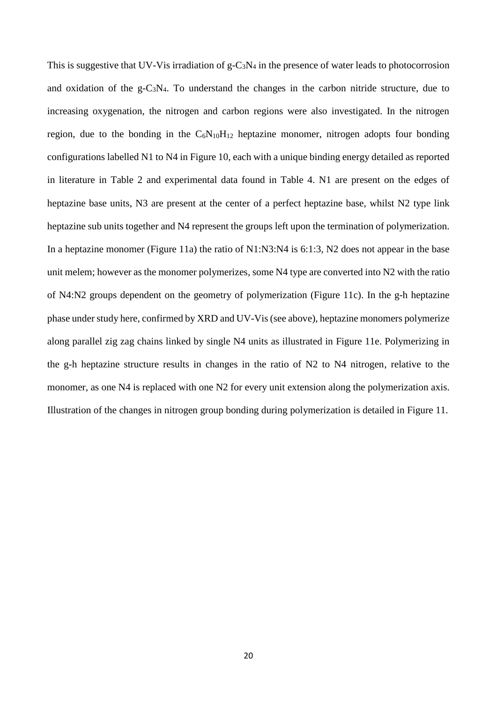This is suggestive that UV-Vis irradiation of  $g-C_3N_4$  in the presence of water leads to photocorrosion and oxidation of the  $g - C_3N_4$ . To understand the changes in the carbon nitride structure, due to increasing oxygenation, the nitrogen and carbon regions were also investigated. In the nitrogen region, due to the bonding in the  $C_6N_{10}H_{12}$  heptazine monomer, nitrogen adopts four bonding configurations labelled N1 to N4 in Figure 10, each with a unique binding energy detailed as reported in literature in Table 2 and experimental data found in Table 4. N1 are present on the edges of heptazine base units, N3 are present at the center of a perfect heptazine base, whilst N2 type link heptazine sub units together and N4 represent the groups left upon the termination of polymerization. In a heptazine monomer (Figure 11a) the ratio of N1:N3:N4 is 6:1:3, N2 does not appear in the base unit melem; however as the monomer polymerizes, some N4 type are converted into N2 with the ratio of N4:N2 groups dependent on the geometry of polymerization (Figure 11c). In the g-h heptazine phase under study here, confirmed by XRD and UV-Vis(see above), heptazine monomers polymerize along parallel zig zag chains linked by single N4 units as illustrated in Figure 11e. Polymerizing in the g-h heptazine structure results in changes in the ratio of N2 to N4 nitrogen, relative to the monomer, as one N4 is replaced with one N2 for every unit extension along the polymerization axis. Illustration of the changes in nitrogen group bonding during polymerization is detailed in Figure 11.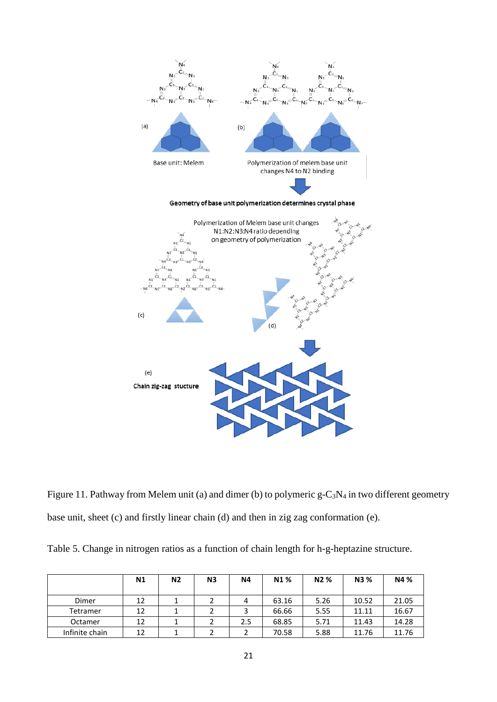

Figure 11. Pathway from Melem unit (a) and dimer (b) to polymeric g-C<sub>3</sub>N<sub>4</sub> in two different geometry base unit, sheet (c) and firstly linear chain (d) and then in zig zag conformation (e).

Table 5. Change in nitrogen ratios as a function of chain length for h-g-heptazine structure.

|                | <b>N1</b> | N2 | N3 | Ν4  | N1%   | N <sub>2</sub> % | <b>N3%</b> | N4 %  |
|----------------|-----------|----|----|-----|-------|------------------|------------|-------|
| Dimer          | 12        |    |    | 4   | 63.16 | 5.26             | 10.52      | 21.05 |
| Tetramer       | 12        |    |    |     | 66.66 | 5.55             | 11.11      | 16.67 |
| Octamer        | 12        |    |    | 2.5 | 68.85 | 5.71             | 11.43      | 14.28 |
| Infinite chain | 12        |    |    |     | 70.58 | 5.88             | 11.76      | 11.76 |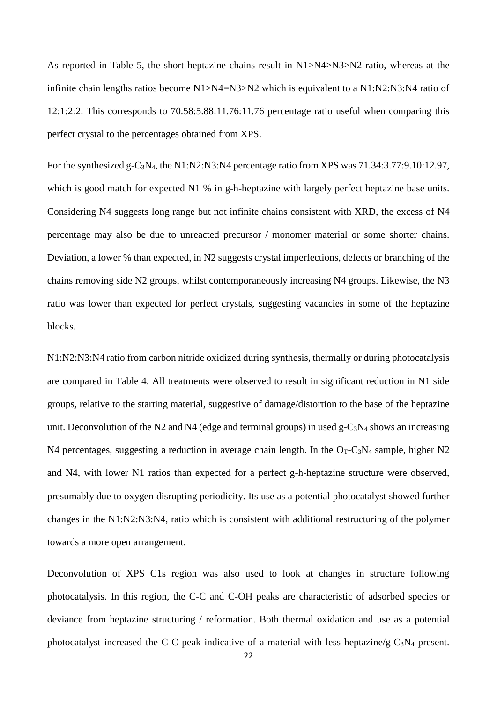As reported in Table 5, the short heptazine chains result in N1>N4>N3>N2 ratio, whereas at the infinite chain lengths ratios become N1>N4=N3>N2 which is equivalent to a N1:N2:N3:N4 ratio of 12:1:2:2. This corresponds to 70.58:5.88:11.76:11.76 percentage ratio useful when comparing this perfect crystal to the percentages obtained from XPS.

For the synthesized g-C3N4, the N1:N2:N3:N4 percentage ratio from XPS was 71.34:3.77:9.10:12.97, which is good match for expected N1 % in g-h-heptazine with largely perfect heptazine base units. Considering N4 suggests long range but not infinite chains consistent with XRD, the excess of N4 percentage may also be due to unreacted precursor / monomer material or some shorter chains. Deviation, a lower % than expected, in N2 suggests crystal imperfections, defects or branching of the chains removing side N2 groups, whilst contemporaneously increasing N4 groups. Likewise, the N3 ratio was lower than expected for perfect crystals, suggesting vacancies in some of the heptazine blocks.

N1:N2:N3:N4 ratio from carbon nitride oxidized during synthesis, thermally or during photocatalysis are compared in Table 4. All treatments were observed to result in significant reduction in N1 side groups, relative to the starting material, suggestive of damage/distortion to the base of the heptazine unit. Deconvolution of the N2 and N4 (edge and terminal groups) in used  $g-C_3N_4$  shows an increasing N4 percentages, suggesting a reduction in average chain length. In the  $O_T-C_3N_4$  sample, higher N2 and N4, with lower N1 ratios than expected for a perfect g-h-heptazine structure were observed, presumably due to oxygen disrupting periodicity. Its use as a potential photocatalyst showed further changes in the N1:N2:N3:N4, ratio which is consistent with additional restructuring of the polymer towards a more open arrangement.

Deconvolution of XPS C1s region was also used to look at changes in structure following photocatalysis. In this region, the C-C and C-OH peaks are characteristic of adsorbed species or deviance from heptazine structuring / reformation. Both thermal oxidation and use as a potential photocatalyst increased the C-C peak indicative of a material with less heptazine/g-C3N<sup>4</sup> present.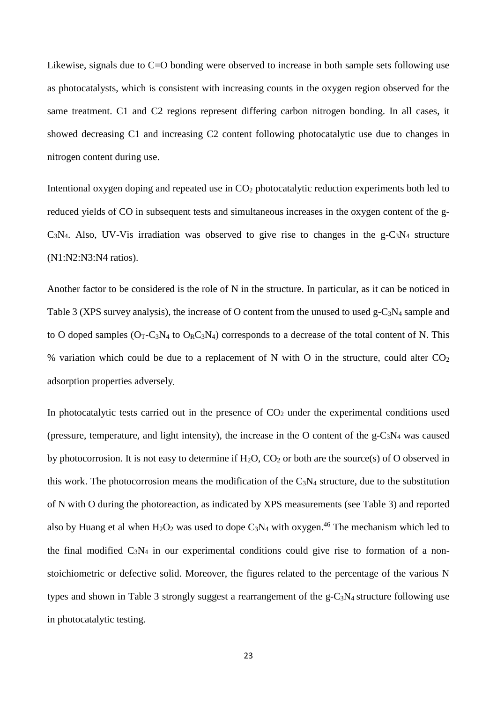Likewise, signals due to C=O bonding were observed to increase in both sample sets following use as photocatalysts, which is consistent with increasing counts in the oxygen region observed for the same treatment. C1 and C2 regions represent differing carbon nitrogen bonding. In all cases, it showed decreasing C1 and increasing C2 content following photocatalytic use due to changes in nitrogen content during use.

Intentional oxygen doping and repeated use in  $CO<sub>2</sub>$  photocatalytic reduction experiments both led to reduced yields of CO in subsequent tests and simultaneous increases in the oxygen content of the g- $C_3N_4$ . Also, UV-Vis irradiation was observed to give rise to changes in the  $g-C_3N_4$  structure (N1:N2:N3:N4 ratios).

Another factor to be considered is the role of N in the structure. In particular, as it can be noticed in Table 3 (XPS survey analysis), the increase of O content from the unused to used g-C<sub>3</sub>N<sub>4</sub> sample and to O doped samples ( $O_T$ -C<sub>3</sub>N<sub>4</sub> to  $O_R$ C<sub>3</sub>N<sub>4</sub>) corresponds to a decrease of the total content of N. This % variation which could be due to a replacement of N with O in the structure, could alter  $CO<sub>2</sub>$ adsorption properties adversely.

In photocatalytic tests carried out in the presence of  $CO<sub>2</sub>$  under the experimental conditions used (pressure, temperature, and light intensity), the increase in the O content of the  $g - C_3N_4$  was caused by photocorrosion. It is not easy to determine if  $H_2O$ ,  $CO_2$  or both are the source(s) of O observed in this work. The photocorrosion means the modification of the  $C_3N_4$  structure, due to the substitution of N with O during the photoreaction, as indicated by XPS measurements (see Table 3) and reported also by Huang et al when  $H_2O_2$  was used to dope  $C_3N_4$  with oxygen.<sup>46</sup> The mechanism which led to the final modified  $C_3N_4$  in our experimental conditions could give rise to formation of a nonstoichiometric or defective solid. Moreover, the figures related to the percentage of the various N types and shown in Table 3 strongly suggest a rearrangement of the g-C3N4 structure following use in photocatalytic testing.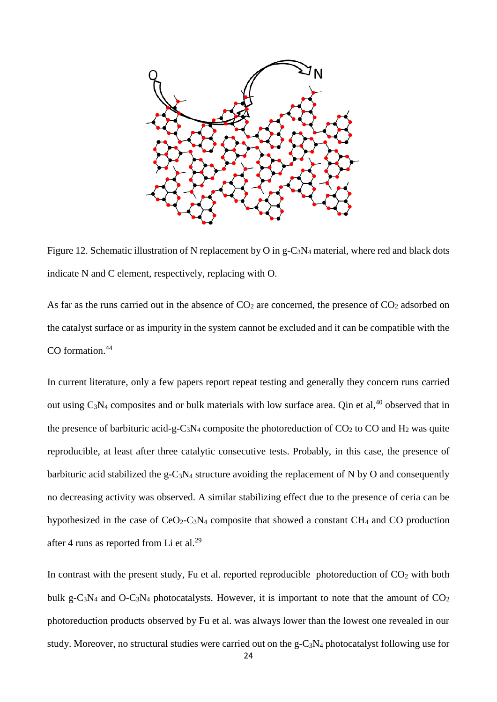

Figure 12. Schematic illustration of N replacement by O in g-C<sub>3</sub>N<sub>4</sub> material, where red and black dots indicate N and C element, respectively, replacing with O.

As far as the runs carried out in the absence of  $CO<sub>2</sub>$  are concerned, the presence of  $CO<sub>2</sub>$  adsorbed on the catalyst surface or as impurity in the system cannot be excluded and it can be compatible with the CO formation. 44

In current literature, only a few papers report repeat testing and generally they concern runs carried out using C<sub>3</sub>N<sub>4</sub> composites and or bulk materials with low surface area. Qin et al,<sup>40</sup> observed that in the presence of barbituric acid-g-C<sub>3</sub>N<sub>4</sub> composite the photoreduction of  $CO<sub>2</sub>$  to CO and H<sub>2</sub> was quite reproducible, at least after three catalytic consecutive tests. Probably, in this case, the presence of barbituric acid stabilized the g-C<sub>3</sub>N<sub>4</sub> structure avoiding the replacement of N by O and consequently no decreasing activity was observed. A similar stabilizing effect due to the presence of ceria can be hypothesized in the case of  $CeO<sub>2</sub>-C<sub>3</sub>N<sub>4</sub>$  composite that showed a constant CH<sub>4</sub> and CO production after 4 runs as reported from Li et al.<sup>29</sup>

In contrast with the present study, Fu et al. reported reproducible photoreduction of  $CO<sub>2</sub>$  with both bulk g-C<sub>3</sub>N<sub>4</sub> and O-C<sub>3</sub>N<sub>4</sub> photocatalysts. However, it is important to note that the amount of  $CO<sub>2</sub>$ photoreduction products observed by Fu et al. was always lower than the lowest one revealed in our study. Moreover, no structural studies were carried out on the g-C3N<sup>4</sup> photocatalyst following use for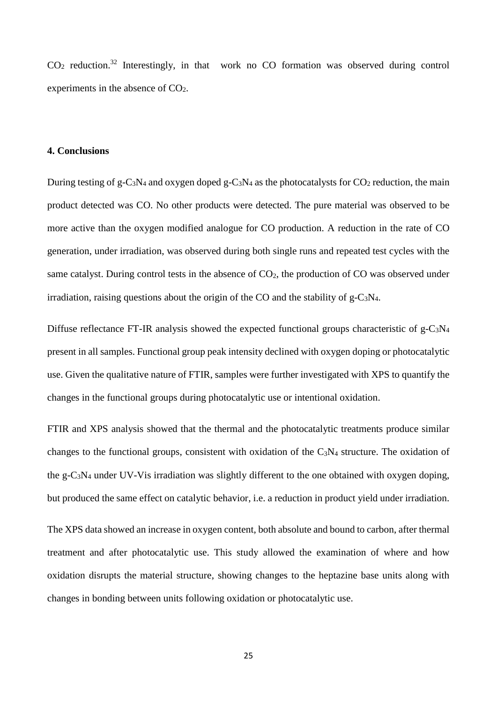$CO<sub>2</sub>$  reduction.<sup>32</sup> Interestingly, in that work no CO formation was observed during control experiments in the absence of  $CO<sub>2</sub>$ .

## **4. Conclusions**

During testing of g-C<sub>3</sub>N<sub>4</sub> and oxygen doped g-C<sub>3</sub>N<sub>4</sub> as the photocatalysts for  $CO_2$  reduction, the main product detected was CO. No other products were detected. The pure material was observed to be more active than the oxygen modified analogue for CO production. A reduction in the rate of CO generation, under irradiation, was observed during both single runs and repeated test cycles with the same catalyst. During control tests in the absence of  $CO<sub>2</sub>$ , the production of  $CO$  was observed under irradiation, raising questions about the origin of the CO and the stability of  $g - C_3N_4$ .

Diffuse reflectance FT-IR analysis showed the expected functional groups characteristic of g-C<sub>3</sub>N<sub>4</sub> present in all samples. Functional group peak intensity declined with oxygen doping or photocatalytic use. Given the qualitative nature of FTIR, samples were further investigated with XPS to quantify the changes in the functional groups during photocatalytic use or intentional oxidation.

FTIR and XPS analysis showed that the thermal and the photocatalytic treatments produce similar changes to the functional groups, consistent with oxidation of the C3N<sup>4</sup> structure. The oxidation of the g-C3N<sup>4</sup> under UV-Vis irradiation was slightly different to the one obtained with oxygen doping, but produced the same effect on catalytic behavior, i.e. a reduction in product yield under irradiation.

The XPS data showed an increase in oxygen content, both absolute and bound to carbon, after thermal treatment and after photocatalytic use. This study allowed the examination of where and how oxidation disrupts the material structure, showing changes to the heptazine base units along with changes in bonding between units following oxidation or photocatalytic use.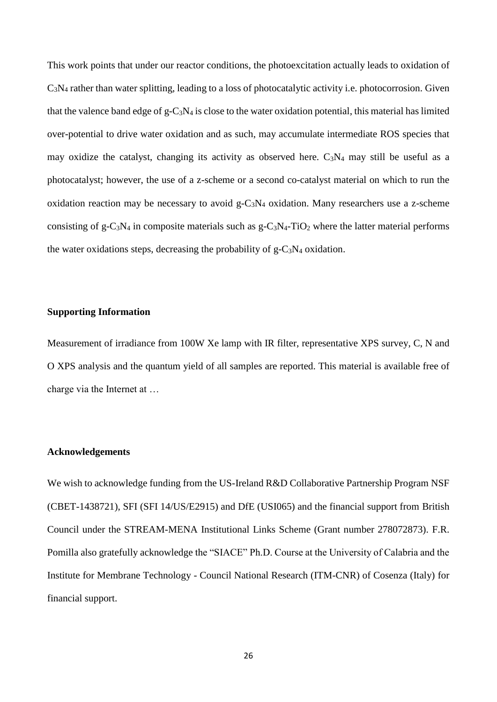This work points that under our reactor conditions, the photoexcitation actually leads to oxidation of C3N<sup>4</sup> rather than water splitting, leading to a loss of photocatalytic activity i.e. photocorrosion. Given that the valence band edge of  $g - C_3N_4$  is close to the water oxidation potential, this material has limited over-potential to drive water oxidation and as such, may accumulate intermediate ROS species that may oxidize the catalyst, changing its activity as observed here.  $C_3N_4$  may still be useful as a photocatalyst; however, the use of a z-scheme or a second co-catalyst material on which to run the oxidation reaction may be necessary to avoid  $g-C_3N_4$  oxidation. Many researchers use a z-scheme consisting of g-C<sub>3</sub>N<sub>4</sub> in composite materials such as  $g$ -C<sub>3</sub>N<sub>4</sub>-TiO<sub>2</sub> where the latter material performs the water oxidations steps, decreasing the probability of  $g-C_3N_4$  oxidation.

### **Supporting Information**

Measurement of irradiance from 100W Xe lamp with IR filter, representative XPS survey, C, N and O XPS analysis and the quantum yield of all samples are reported. This material is available free of charge via the Internet at …

#### **Acknowledgements**

We wish to acknowledge funding from the US-Ireland R&D Collaborative Partnership Program NSF (CBET-1438721), SFI (SFI 14/US/E2915) and DfE (USI065) and the financial support from British Council under the STREAM-MENA Institutional Links Scheme (Grant number 278072873). F.R. Pomilla also gratefully acknowledge the "SIACE" Ph.D. Course at the University of Calabria and the Institute for Membrane Technology - Council National Research (ITM-CNR) of Cosenza (Italy) for financial support.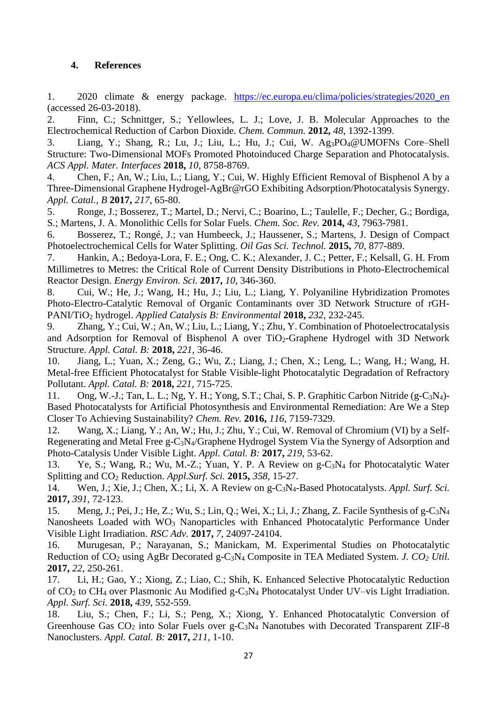# **4. References**

1. 2020 climate & energy package. [https://ec.europa.eu/clima/policies/strategies/2020\\_en](https://ec.europa.eu/clima/policies/strategies/2020_en) (accessed 26-03-2018).

2. Finn, C.; Schnittger, S.; Yellowlees, L. J.; Love, J. B. Molecular Approaches to the Electrochemical Reduction of Carbon Dioxide. *Chem. Commun.* **2012,** *48*, 1392-1399.

3. Liang, Y.; Shang, R.; Lu, J.; Liu, L.; Hu, J.; Cui, W. Ag3PO4@UMOFNs Core–Shell Structure: Two-Dimensional MOFs Promoted Photoinduced Charge Separation and Photocatalysis. *ACS Appl. Mater. Interfaces* **2018,** *10*, 8758-8769.

4. Chen, F.; An, W.; Liu, L.; Liang, Y.; Cui, W. Highly Efficient Removal of Bisphenol A by a Three-Dimensional Graphene Hydrogel-AgBr@rGO Exhibiting Adsorption/Photocatalysis Synergy. *Appl. Catal., B* **2017,** *217*, 65-80.

5. Ronge, J.; Bosserez, T.; Martel, D.; Nervi, C.; Boarino, L.; Taulelle, F.; Decher, G.; Bordiga, S.; Martens, J. A. Monolithic Cells for Solar Fuels. *Chem. Soc. Rev.* **2014,** *43*, 7963-7981.

6. Bosserez, T.; Rongé, J.; van Humbeeck, J.; Haussener, S.; Martens, J. Design of Compact Photoelectrochemical Cells for Water Splitting. *Oil Gas Sci. Technol.* **2015,** *70*, 877-889.

7. Hankin, A.; Bedoya-Lora, F. E.; Ong, C. K.; Alexander, J. C.; Petter, F.; Kelsall, G. H. From Millimetres to Metres: the Critical Role of Current Density Distributions in Photo-Electrochemical Reactor Design. *Energy Environ. Sci.* **2017,** *10*, 346-360.

8. Cui, W.; He, J.; Wang, H.; Hu, J.; Liu, L.; Liang, Y. Polyaniline Hybridization Promotes Photo-Electro-Catalytic Removal of Organic Contaminants over 3D Network Structure of rGH-PANI/TiO<sup>2</sup> hydrogel. *Applied Catalysis B: Environmental* **2018,** *232*, 232-245.

9. Zhang, Y.; Cui, W.; An, W.; Liu, L.; Liang, Y.; Zhu, Y. Combination of Photoelectrocatalysis and Adsorption for Removal of Bisphenol A over  $TiO<sub>2</sub>-Graphene$  Hydrogel with 3D Network Structure. *Appl. Catal. B:* **2018,** *221*, 36-46.

10. Jiang, L.; Yuan, X.; Zeng, G.; Wu, Z.; Liang, J.; Chen, X.; Leng, L.; Wang, H.; Wang, H. Metal-free Efficient Photocatalyst for Stable Visible-light Photocatalytic Degradation of Refractory Pollutant. *Appl. Catal. B:* **2018,** *221*, 715-725.

11. Ong, W.-J.; Tan, L. L.; Ng, Y. H.; Yong, S.T.; Chai, S. P. Graphitic Carbon Nitride (g-C3N4)- Based Photocatalysts for Artificial Photosynthesis and Environmental Remediation: Are We a Step Closer To Achieving Sustainability? *Chem. Rev.* **2016,** *116*, 7159-7329.

12. Wang, X.; Liang, Y.; An, W.; Hu, J.; Zhu, Y.; Cui, W. Removal of Chromium (VI) by a Self-Regenerating and Metal Free g-C3N4/Graphene Hydrogel System Via the Synergy of Adsorption and Photo-Catalysis Under Visible Light. *Appl. Catal. B:* **2017,** *219*, 53-62.

13. Ye, S.; Wang, R.; Wu, M.-Z.; Yuan, Y. P. A Review on g-C3N<sup>4</sup> for Photocatalytic Water Splitting and CO<sup>2</sup> Reduction. *Appl.Surf. Sci.* **2015,** *358*, 15-27.

14. Wen, J.; Xie, J.; Chen, X.; Li, X. A Review on g-C3N4-Based Photocatalysts. *Appl. Surf. Sci.* **2017,** *391*, 72-123.

15. Meng, J.; Pei, J.; He, Z.; Wu, S.; Lin, Q.; Wei, X.; Li, J.; Zhang, Z. Facile Synthesis of g-C3N<sup>4</sup> Nanosheets Loaded with WO<sub>3</sub> Nanoparticles with Enhanced Photocatalytic Performance Under Visible Light Irradiation. *RSC Adv.* **2017,** *7*, 24097-24104.

16. Murugesan, P.; Narayanan, S.; Manickam, M. Experimental Studies on Photocatalytic Reduction of CO<sup>2</sup> using AgBr Decorated g-C3N<sup>4</sup> Composite in TEA Mediated System. *J. CO<sup>2</sup> Util.* **2017,** *22*, 250-261.

17. Li, H.; Gao, Y.; Xiong, Z.; Liao, C.; Shih, K. Enhanced Selective Photocatalytic Reduction of CO<sup>2</sup> to CH<sup>4</sup> over Plasmonic Au Modified g-C3N<sup>4</sup> Photocatalyst Under UV–vis Light Irradiation. *Appl. Surf. Sci.* **2018,** *439*, 552-559.

18. Liu, S.; Chen, F.; Li, S.; Peng, X.; Xiong, Y. Enhanced Photocatalytic Conversion of Greenhouse Gas  $CO_2$  into Solar Fuels over g-C<sub>3</sub>N<sub>4</sub> Nanotubes with Decorated Transparent ZIF-8 Nanoclusters. *Appl. Catal. B:* **2017,** *211*, 1-10.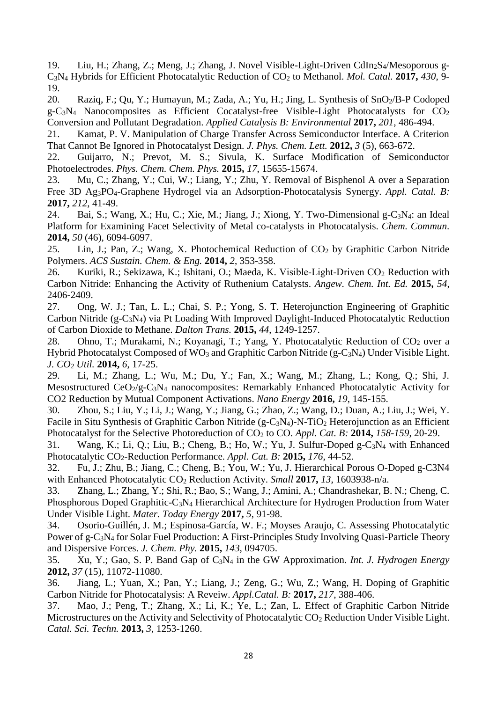19. Liu, H.; Zhang, Z.; Meng, J.; Zhang, J. Novel Visible-Light-Driven CdIn2S4/Mesoporous g-C3N<sup>4</sup> Hybrids for Efficient Photocatalytic Reduction of CO<sup>2</sup> to Methanol. *Mol. Catal.* **2017,** *430*, 9- 19.

20. Razig, F.; Qu, Y.; Humayun, M.; Zada, A.; Yu, H.; Jing, L. Synthesis of SnO<sub>2</sub>/B-P Codoped  $g - C_3N_4$  Nanocomposites as Efficient Cocatalyst-free Visible-Light Photocatalysts for  $CO_2$ Conversion and Pollutant Degradation. *Applied Catalysis B: Environmental* **2017,** *201*, 486-494.

21. Kamat, P. V. Manipulation of Charge Transfer Across Semiconductor Interface. A Criterion That Cannot Be Ignored in Photocatalyst Design. *J. Phys. Chem. Lett.* **2012,** *3* (5), 663-672.

22. Guijarro, N.; Prevot, M. S.; Sivula, K. Surface Modification of Semiconductor Photoelectrodes. *Phys. Chem. Chem. Phys.* **2015,** *17*, 15655-15674.

23. Mu, C.; Zhang, Y.; Cui, W.; Liang, Y.; Zhu, Y. Removal of Bisphenol A over a Separation Free 3D Ag3PO4-Graphene Hydrogel via an Adsorption-Photocatalysis Synergy. *Appl. Catal. B:*  **2017,** *212*, 41-49.

24. Bai, S.; Wang, X.; Hu, C.; Xie, M.; Jiang, J.; Xiong, Y. Two-Dimensional g-C3N4: an Ideal Platform for Examining Facet Selectivity of Metal co-catalysts in Photocatalysis. *Chem. Commun.* **2014,** *50* (46), 6094-6097.

25. Lin, J.; Pan, Z.; Wang, X. Photochemical Reduction of CO<sub>2</sub> by Graphitic Carbon Nitride Polymers. *ACS Sustain. Chem. & Eng.* **2014,** *2*, 353-358.

26. Kuriki, R.; Sekizawa, K.; Ishitani, O.; Maeda, K. Visible-Light-Driven CO<sub>2</sub> Reduction with Carbon Nitride: Enhancing the Activity of Ruthenium Catalysts. *Angew. Chem. Int. Ed.* **2015,** *54*, 2406-2409.

27. Ong, W. J.; Tan, L. L.; Chai, S. P.; Yong, S. T. Heterojunction Engineering of Graphitic Carbon Nitride (g-C3N4) via Pt Loading With Improved Daylight-Induced Photocatalytic Reduction of Carbon Dioxide to Methane. *Dalton Trans.* **2015,** *44*, 1249-1257.

28. Ohno, T.; Murakami, N.; Koyanagi, T.; Yang, Y. Photocatalytic Reduction of CO<sub>2</sub> over a Hybrid Photocatalyst Composed of WO<sub>3</sub> and Graphitic Carbon Nitride (g-C<sub>3</sub>N<sub>4</sub>) Under Visible Light. *J. CO<sup>2</sup> Util.* **2014,** *6*, 17-25.

29. Li, M.; Zhang, L.; Wu, M.; Du, Y.; Fan, X.; Wang, M.; Zhang, L.; Kong, Q.; Shi, J. Mesostructured CeO<sub>2</sub>/g-C<sub>3</sub>N<sub>4</sub> nanocomposites: Remarkably Enhanced Photocatalytic Activity for CO2 Reduction by Mutual Component Activations. *Nano Energy* **2016,** *19*, 145-155.

30. Zhou, S.; Liu, Y.; Li, J.; Wang, Y.; Jiang, G.; Zhao, Z.; Wang, D.; Duan, A.; Liu, J.; Wei, Y. Facile in Situ Synthesis of Graphitic Carbon Nitride ( $g - C_3N_4$ )-N-TiO<sub>2</sub> Heterojunction as an Efficient Photocatalyst for the Selective Photoreduction of CO<sup>2</sup> to CO. *Appl. Cat. B:* **2014,** *158-159*, 20-29.

31. Wang, K.; Li, Q.; Liu, B.; Cheng, B.; Ho, W.; Yu, J. Sulfur-Doped g-C3N<sup>4</sup> with Enhanced Photocatalytic CO2-Reduction Performance. *Appl. Cat. B:* **2015,** *176*, 44-52.

32. Fu, J.; Zhu, B.; Jiang, C.; Cheng, B.; You, W.; Yu, J. Hierarchical Porous O-Doped g-C3N4 with Enhanced Photocatalytic CO<sub>2</sub> Reduction Activity. *Small* **2017,** 13, 1603938-n/a.

33. Zhang, L.; Zhang, Y.; Shi, R.; Bao, S.; Wang, J.; Amini, A.; Chandrashekar, B. N.; Cheng, C. Phosphorous Doped Graphitic-C3N<sup>4</sup> Hierarchical Architecture for Hydrogen Production from Water Under Visible Light. *Mater. Today Energy* **2017,** *5*, 91-98.

34. Osorio-Guillén, J. M.; Espinosa-García, W. F.; Moyses Araujo, C. Assessing Photocatalytic Power of g-C3N<sup>4</sup> for Solar Fuel Production: A First-Principles Study Involving Quasi-Particle Theory and Dispersive Forces. *J. Chem. Phy.* **2015,** *143*, 094705.

35. Xu, Y.; Gao, S. P. Band Gap of C3N<sup>4</sup> in the GW Approximation. *Int. J. Hydrogen Energy*  **2012,** *37* (15), 11072-11080.

36. Jiang, L.; Yuan, X.; Pan, Y.; Liang, J.; Zeng, G.; Wu, Z.; Wang, H. Doping of Graphitic Carbon Nitride for Photocatalysis: A Reveiw. *Appl.Catal. B:* **2017,** *217*, 388-406.

37. Mao, J.; Peng, T.; Zhang, X.; Li, K.; Ye, L.; Zan, L. Effect of Graphitic Carbon Nitride Microstructures on the Activity and Selectivity of Photocatalytic CO<sub>2</sub> Reduction Under Visible Light. *Catal. Sci. Techn.* **2013,** *3*, 1253-1260.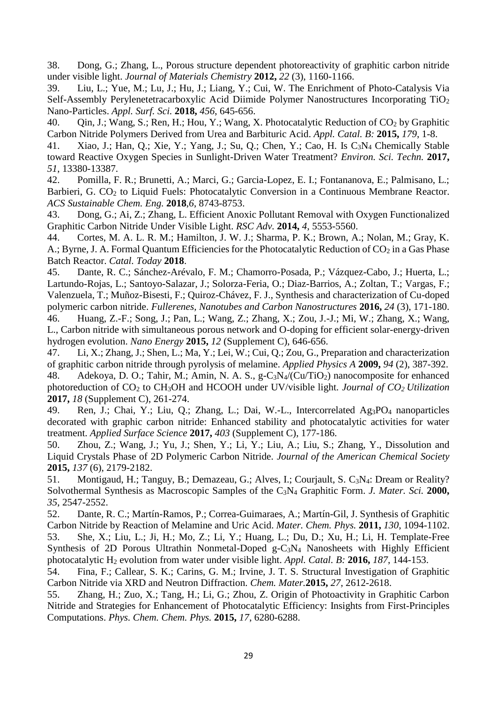38. Dong, G.; Zhang, L., Porous structure dependent photoreactivity of graphitic carbon nitride under visible light. *Journal of Materials Chemistry* **2012,** *22* (3), 1160-1166.

39. Liu, L.; Yue, M.; Lu, J.; Hu, J.; Liang, Y.; Cui, W. The Enrichment of Photo-Catalysis Via Self-Assembly Perylenetetracarboxylic Acid Diimide Polymer Nanostructures Incorporating TiO<sub>2</sub> Nano-Particles. *Appl. Surf. Sci.* **2018,** *456*, 645-656.

40. Qin, J.; Wang, S.; Ren, H.; Hou, Y.; Wang, X. Photocatalytic Reduction of CO<sup>2</sup> by Graphitic Carbon Nitride Polymers Derived from Urea and Barbituric Acid. *Appl. Catal. B:* **2015,** *179*, 1-8.

41. Xiao, J.; Han, Q.; Xie, Y.; Yang, J.; Su, Q.; Chen, Y.; Cao, H. Is C3N<sup>4</sup> Chemically Stable toward Reactive Oxygen Species in Sunlight-Driven Water Treatment? *Environ. Sci. Techn.* **2017,** *51*, 13380-13387.

42. Pomilla, F. R.; Brunetti, A.; Marci, G.; Garcia-Lopez, E. I.; Fontananova, E.; Palmisano, L.; Barbieri, G. CO<sub>2</sub> to Liquid Fuels: Photocatalytic Conversion in a Continuous Membrane Reactor. *ACS Sustainable Chem. Eng.* **2018**,*6*, 8743-8753.

43. Dong, G.; Ai, Z.; Zhang, L. Efficient Anoxic Pollutant Removal with Oxygen Functionalized Graphitic Carbon Nitride Under Visible Light. *RSC Adv.* **2014,** *4*, 5553-5560.

44. Cortes, M. A. L. R. M.; Hamilton, J. W. J.; Sharma, P. K.; Brown, A.; Nolan, M.; Gray, K. A.; Byrne, J. A. Formal Quantum Efficiencies for the Photocatalytic Reduction of  $CO<sub>2</sub>$  in a Gas Phase Batch Reactor. *Catal. Today* **2018**.

45. Dante, R. C.; Sánchez-Arévalo, F. M.; Chamorro-Posada, P.; Vázquez-Cabo, J.; Huerta, L.; Lartundo-Rojas, L.; Santoyo-Salazar, J.; Solorza-Feria, O.; Diaz-Barrios, A.; Zoltan, T.; Vargas, F.; Valenzuela, T.; Muñoz-Bisesti, F.; Quiroz-Chávez, F. J., Synthesis and characterization of Cu-doped polymeric carbon nitride. *Fullerenes, Nanotubes and Carbon Nanostructures* **2016,** *24* (3), 171-180. 46. Huang, Z.-F.; Song, J.; Pan, L.; Wang, Z.; Zhang, X.; Zou, J.-J.; Mi, W.; Zhang, X.; Wang, L., Carbon nitride with simultaneous porous network and O-doping for efficient solar-energy-driven hydrogen evolution. *Nano Energy* **2015,** *12* (Supplement C), 646-656.

47. Li, X.; Zhang, J.; Shen, L.; Ma, Y.; Lei, W.; Cui, Q.; Zou, G., Preparation and characterization of graphitic carbon nitride through pyrolysis of melamine. *Applied Physics A* **2009,** *94* (2), 387-392. 48. Adekoya, D. O.; Tahir, M.; Amin, N. A. S., g-C3N4/(Cu/TiO2) nanocomposite for enhanced photoreduction of CO<sup>2</sup> to CH3OH and HCOOH under UV/visible light. *Journal of CO2 Utilization*  **2017,** *18* (Supplement C), 261-274.

49. Ren, J.; Chai, Y.; Liu, Q.; Zhang, L.; Dai, W.-L., Intercorrelated Ag<sub>3</sub>PO<sub>4</sub> nanoparticles decorated with graphic carbon nitride: Enhanced stability and photocatalytic activities for water treatment. *Applied Surface Science* **2017,** *403* (Supplement C), 177-186.

50. Zhou, Z.; Wang, J.; Yu, J.; Shen, Y.; Li, Y.; Liu, A.; Liu, S.; Zhang, Y., Dissolution and Liquid Crystals Phase of 2D Polymeric Carbon Nitride. *Journal of the American Chemical Society*  **2015,** *137* (6), 2179-2182.

51. Montigaud, H.; Tanguy, B.; Demazeau, G.; Alves, I.; Courjault, S. C<sub>3</sub>N<sub>4</sub>: Dream or Reality? Solvothermal Synthesis as Macroscopic Samples of the C3N<sup>4</sup> Graphitic Form. *J. Mater. Sci.* **2000,** *35*, 2547-2552.

52. Dante, R. C.; Martín-Ramos, P.; Correa-Guimaraes, A.; Martín-Gil, J. Synthesis of Graphitic Carbon Nitride by Reaction of Melamine and Uric Acid. *Mater. Chem. Phys.* **2011,** *130*, 1094-1102. 53. She, X.; Liu, L.; Ji, H.; Mo, Z.; Li, Y.; Huang, L.; Du, D.; Xu, H.; Li, H. Template-Free Synthesis of 2D Porous Ultrathin Nonmetal-Doped g-C3N<sup>4</sup> Nanosheets with Highly Efficient photocatalytic H<sup>2</sup> evolution from water under visible light. *Appl. Catal. B:* **2016,** *187*, 144-153.

54. Fina, F.; Callear, S. K.; Carins, G. M.; Irvine, J. T. S. Structural Investigation of Graphitic Carbon Nitride via XRD and Neutron Diffraction. *Chem. Mater.***2015,** *27*, 2612-2618.

55. Zhang, H.; Zuo, X.; Tang, H.; Li, G.; Zhou, Z. Origin of Photoactivity in Graphitic Carbon Nitride and Strategies for Enhancement of Photocatalytic Efficiency: Insights from First-Principles Computations. *Phys. Chem. Chem. Phys.* **2015,** *17*, 6280-6288.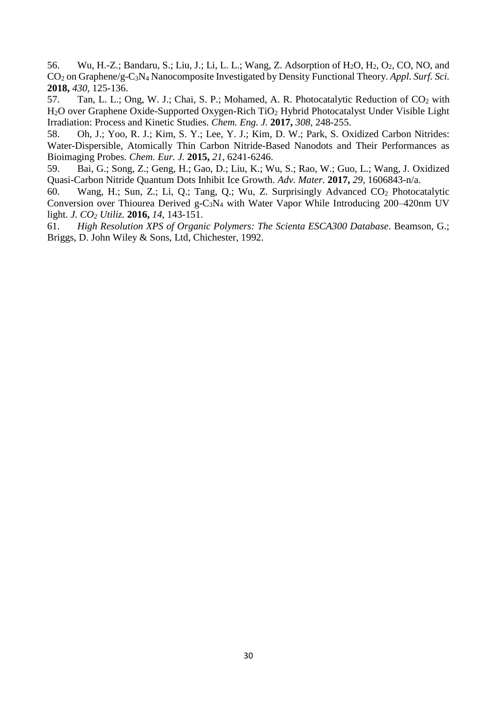56. Wu, H.-Z.; Bandaru, S.; Liu, J.; Li, L. L.; Wang, Z. Adsorption of H2O, H2, O2, CO, NO, and CO<sup>2</sup> on Graphene/g-C3N<sup>4</sup> Nanocomposite Investigated by Density Functional Theory. *Appl. Surf. Sci.* **2018,** *430*, 125-136.

57. Tan, L. L.; Ong, W. J.; Chai, S. P.; Mohamed, A. R. Photocatalytic Reduction of  $CO<sub>2</sub>$  with H2O over Graphene Oxide-Supported Oxygen-Rich TiO<sup>2</sup> Hybrid Photocatalyst Under Visible Light Irradiation: Process and Kinetic Studies. *Chem. Eng. J.* **2017,** *308*, 248-255.

58. Oh, J.; Yoo, R. J.; Kim, S. Y.; Lee, Y. J.; Kim, D. W.; Park, S. Oxidized Carbon Nitrides: Water-Dispersible, Atomically Thin Carbon Nitride-Based Nanodots and Their Performances as Bioimaging Probes. *Chem. Eur. J.* **2015,** *21*, 6241-6246.

59. Bai, G.; Song, Z.; Geng, H.; Gao, D.; Liu, K.; Wu, S.; Rao, W.; Guo, L.; Wang, J. Oxidized Quasi-Carbon Nitride Quantum Dots Inhibit Ice Growth. *Adv. Mater.* **2017,** *29*, 1606843-n/a.

60. Wang, H.; Sun, Z.; Li, Q.; Tang, Q.; Wu, Z. Surprisingly Advanced CO<sup>2</sup> Photocatalytic Conversion over Thiourea Derived g-C3N<sup>4</sup> with Water Vapor While Introducing 200–420nm UV light. *J. CO<sup>2</sup> Utiliz.* **2016,** *14*, 143-151.

61. *High Resolution XPS of Organic Polymers: The Scienta ESCA300 Database*. Beamson, G.; Briggs, D. John Wiley & Sons, Ltd, Chichester, 1992.